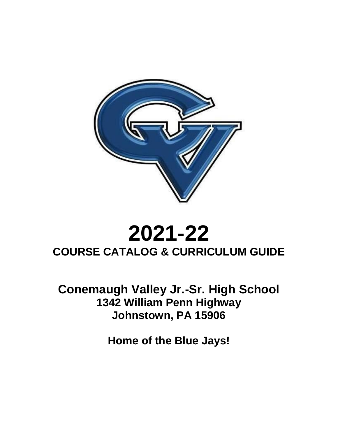

# **2021-22 COURSE CATALOG & CURRICULUM GUIDE**

**Conemaugh Valley Jr.-Sr. High School 1342 William Penn Highway Johnstown, PA 15906**

**Home of the Blue Jays!**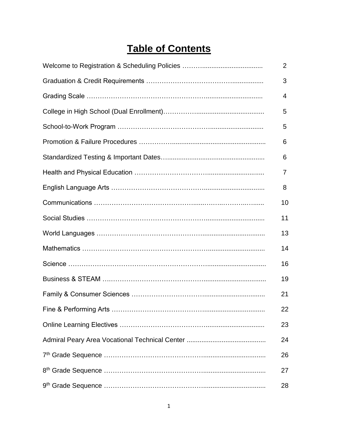# **Table of Contents**

| $\overline{2}$ |
|----------------|
| 3              |
| 4              |
| 5              |
| 5              |
| 6              |
| 6              |
| 7              |
| 8              |
| 10             |
| 11             |
| 13             |
| 14             |
| 16             |
| 19             |
| 21             |
| 22             |
| 23             |
| 24             |
| 26             |
| 27             |
| 28             |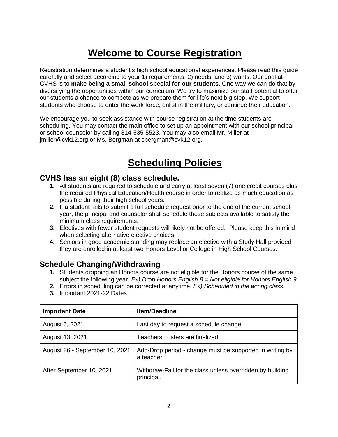# **Welcome to Course Registration**

Registration determines a student's high school educational experiences. Please read this guide carefully and select according to your 1) requirements, 2) needs, and 3) wants. Our goal at CVHS is to **make being a small school special for our students**. One way we can do that by diversifying the opportunities within our curriculum. We try to maximize our staff potential to offer our students a chance to compete as we prepare them for life's next big step. We support students who choose to enter the work force, enlist in the military, or continue their education.

We encourage you to seek assistance with course registration at the time students are scheduling. You may contact the main office to set up an appointment with our school principal or school counselor by calling 814-535-5523. You may also email Mr. Miller at jmiller@cvk12.org or Ms. Bergman at sbergman@cvk12.org.

# **Scheduling Policies**

### **CVHS has an eight (8) class schedule.**

- **1.** All students are required to schedule and carry at least seven (7) one credit courses plus the required Physical Education/Health course in order to realize as much education as possible during their high school years.
- **2.** If a student fails to submit a full schedule request prior to the end of the current school year, the principal and counselor shall schedule those subjects available to satisfy the minimum class requirements.
- **3.** Electives with fewer student requests will likely not be offered. Please keep this in mind when selecting alternative elective choices.
- **4.** Seniors in good academic standing may replace an elective with a Study Hall provided they are enrolled in at least two Honors Level or College in High School Courses.

### **Schedule Changing/Withdrawing**

- **1.** Students dropping an Honors course are not eligible for the Honors course of the same subject the following year. *Ex) Drop Honors English 8 = Not eligible for Honors English 9*
- **2.** Errors in scheduling can be corrected at anytime. *Ex) Scheduled in the wrong class.*
- **3.** Important 2021-22 Dates

| <b>Important Date</b>          | <b>Item/Deadline</b>                                                    |
|--------------------------------|-------------------------------------------------------------------------|
| August 6, 2021                 | Last day to request a schedule change.                                  |
| August 13, 2021                | Teachers' rosters are finalized.                                        |
| August 26 - September 10, 2021 | Add-Drop period - change must be supported in writing by<br>a teacher.  |
| After September 10, 2021       | Withdraw-Fail for the class unless overridden by building<br>principal. |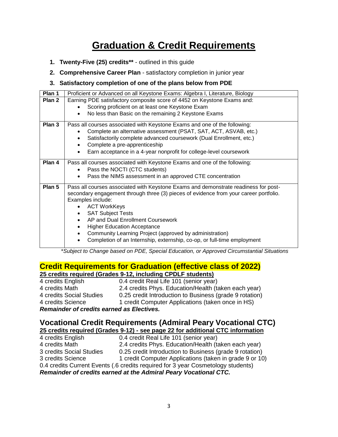# **Graduation & Credit Requirements**

- **1. Twenty-Five (25) credits\*\*** outlined in this guide
- **2. Comprehensive Career Plan** satisfactory completion in junior year

#### **3. Satisfactory completion of one of the plans below from PDE**

| Plan 1 | Proficient or Advanced on all Keystone Exams: Algebra I, Literature, Biology          |
|--------|---------------------------------------------------------------------------------------|
| Plan 2 | Earning PDE satisfactory composite score of 4452 on Keystone Exams and:               |
|        | Scoring proficient on at least one Keystone Exam<br>$\bullet$                         |
|        | No less than Basic on the remaining 2 Keystone Exams                                  |
| Plan 3 | Pass all courses associated with Keystone Exams and one of the following:             |
|        | Complete an alternative assessment (PSAT, SAT, ACT, ASVAB, etc.)                      |
|        | Satisfactorily complete advanced coursework (Dual Enrollment, etc.)                   |
|        | Complete a pre-apprenticeship<br>$\bullet$                                            |
|        | Earn acceptance in a 4-year nonprofit for college-level coursework                    |
| Plan 4 | Pass all courses associated with Keystone Exams and one of the following:             |
|        | Pass the NOCTI (CTC students)                                                         |
|        | Pass the NIMS assessment in an approved CTE concentration                             |
| Plan 5 | Pass all courses associated with Keystone Exams and demonstrate readiness for post-   |
|        | secondary engagement through three (3) pieces of evidence from your career portfolio. |
|        | Examples include:                                                                     |
|        | <b>ACT WorkKeys</b>                                                                   |
|        | <b>SAT Subject Tests</b><br>AP and Dual Enrollment Coursework                         |
|        |                                                                                       |
|        | <b>Higher Education Acceptance</b>                                                    |
|        | Community Learning Project (approved by administration)                               |
|        | Completion of an Internship, externship, co-op, or full-time employment               |

\**Subject to Change based on PDE, Special Education, or Approved Circumstantial Situations*

#### **Credit Requirements for Graduation (effective class of 2022) 25 credits required (Grades 9-12, including CPDLF students)**

| <b>Domaindor of crodits carnod as Electivos</b>                        |                                                         |  |  |  |
|------------------------------------------------------------------------|---------------------------------------------------------|--|--|--|
| 1 credit Computer Applications (taken once in HS)<br>4 credits Science |                                                         |  |  |  |
| 4 credits Social Studies                                               | 0.25 credit Introduction to Business (grade 9 rotation) |  |  |  |
| 4 credits Math                                                         | 2.4 credits Phys. Education/Health (taken each year)    |  |  |  |
| 4 credits English                                                      | 0.4 credit Real Life 101 (senior year)                  |  |  |  |

*Remainder of credits earned as Electives.* 

#### **Vocational Credit Requirements (Admiral Peary Vocational CTC) 25 credits required (Grades 9-12) - see page 22 for additional CTC information**

| 0.4 credit Real Life 101 (senior year)                                              |  |  |  |
|-------------------------------------------------------------------------------------|--|--|--|
| 2.4 credits Phys. Education/Health (taken each year)                                |  |  |  |
| 3 credits Social Studies<br>0.25 credit Introduction to Business (grade 9 rotation) |  |  |  |
| 1 credit Computer Applications (taken in grade 9 or 10)                             |  |  |  |
| 0.4 credits Current Events (.6 credits required for 3 year Cosmetology students)    |  |  |  |
| Remainder of credits earned at the Admiral Peary Vocational CTC.                    |  |  |  |
|                                                                                     |  |  |  |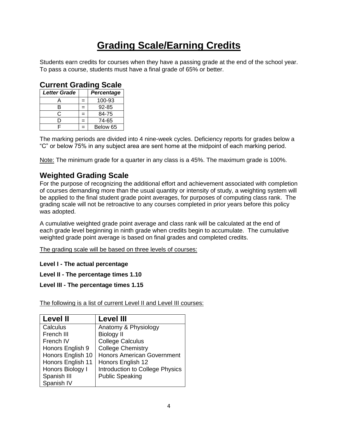# **Grading Scale/Earning Credits**

Students earn credits for courses when they have a passing grade at the end of the school year. To pass a course, students must have a final grade of 65% or better.

| Current Grading Scale             |   |           |  |
|-----------------------------------|---|-----------|--|
| <b>Letter Grade</b><br>Percentage |   |           |  |
|                                   | = | 100-93    |  |
| в                                 | = | $92 - 85$ |  |
| C                                 |   | 84-75     |  |
| D                                 | = | 74-65     |  |
| ⊏                                 |   | Below 65  |  |

### **Current Grading Scale**

The marking periods are divided into 4 nine-week cycles. Deficiency reports for grades below a "C" or below 75% in any subject area are sent home at the midpoint of each marking period.

Note: The minimum grade for a quarter in any class is a 45%. The maximum grade is 100%.

### **Weighted Grading Scale**

For the purpose of recognizing the additional effort and achievement associated with completion of courses demanding more than the usual quantity or intensity of study, a weighting system will be applied to the final student grade point averages, for purposes of computing class rank. The grading scale will not be retroactive to any courses completed in prior years before this policy was adopted.

A cumulative weighted grade point average and class rank will be calculated at the end of each grade level beginning in ninth grade when credits begin to accumulate. The cumulative weighted grade point average is based on final grades and completed credits.

The grading scale will be based on three levels of courses:

**Level I - The actual percentage**

**Level II - The percentage times 1.10**

**Level III - The percentage times 1.15**

The following is a list of current Level II and Level III courses:

| <b>Level II</b>   | <b>Level III</b>                  |
|-------------------|-----------------------------------|
| Calculus          | Anatomy & Physiology              |
| French III        | <b>Biology II</b>                 |
| French IV         | <b>College Calculus</b>           |
| Honors English 9  | <b>College Chemistry</b>          |
| Honors English 10 | <b>Honors American Government</b> |
| Honors English 11 | Honors English 12                 |
| Honors Biology I  | Introduction to College Physics   |
| Spanish III       | <b>Public Speaking</b>            |
| Spanish IV        |                                   |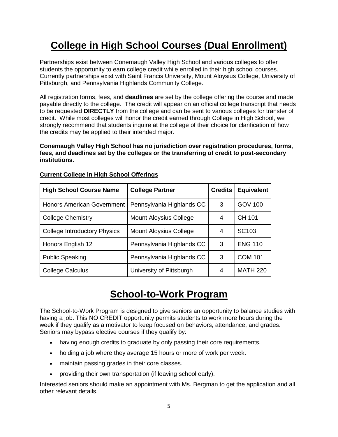# **College in High School Courses (Dual Enrollment)**

Partnerships exist between Conemaugh Valley High School and various colleges to offer students the opportunity to earn college credit while enrolled in their high school courses. Currently partnerships exist with Saint Francis University, Mount Aloysius College, University of Pittsburgh, and Pennsylvania Highlands Community College.

All registration forms, fees, and **deadlines** are set by the college offering the course and made payable directly to the college. The credit will appear on an official college transcript that needs to be requested **DIRECTLY** from the college and can be sent to various colleges for transfer of credit. While most colleges will honor the credit earned through College in High School, we strongly recommend that students inquire at the college of their choice for clarification of how the credits may be applied to their intended major.

**Conemaugh Valley High School has no jurisdiction over registration procedures, forms, fees, and deadlines set by the colleges or the transferring of credit to post-secondary institutions.** 

| <b>High School Course Name</b>      | <b>College Partner</b>        | <b>Credits</b> | <b>Equivalent</b> |
|-------------------------------------|-------------------------------|----------------|-------------------|
| <b>Honors American Government</b>   | Pennsylvania Highlands CC     | 3              | <b>GOV 100</b>    |
| <b>College Chemistry</b>            | <b>Mount Aloysius College</b> | 4              | CH 101            |
| <b>College Introductory Physics</b> | <b>Mount Aloysius College</b> | 4              | SC <sub>103</sub> |
| Honors English 12                   | Pennsylvania Highlands CC     | 3              | <b>ENG 110</b>    |
| <b>Public Speaking</b>              | Pennsylvania Highlands CC     | 3              | <b>COM 101</b>    |
| <b>College Calculus</b>             | University of Pittsburgh      | 4              | <b>MATH 220</b>   |

#### **Current College in High School Offerings**

# **School-to-Work Program**

The School-to-Work Program is designed to give seniors an opportunity to balance studies with having a job. This NO CREDIT opportunity permits students to work more hours during the week if they qualify as a motivator to keep focused on behaviors, attendance, and grades. Seniors may bypass elective courses if they qualify by:

- having enough credits to graduate by only passing their core requirements.
- holding a job where they average 15 hours or more of work per week.
- maintain passing grades in their core classes.
- providing their own transportation (if leaving school early).

Interested seniors should make an appointment with Ms. Bergman to get the application and all other relevant details.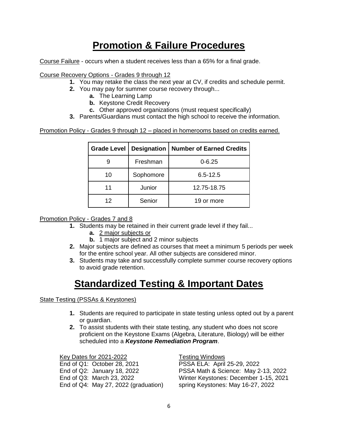# **Promotion & Failure Procedures**

Course Failure - occurs when a student receives less than a 65% for a final grade.

Course Recovery Options - Grades 9 through 12

- **1.** You may retake the class the next year at CV, if credits and schedule permit.
- **2.** You may pay for summer course recovery through...
	- **a.** The Learning Lamp
	- **b.** Keystone Credit Recovery
	- **c.** Other approved organizations (must request specifically)
- **3.** Parents/Guardians must contact the high school to receive the information.

Promotion Policy - Grades 9 through 12 – placed in homerooms based on credits earned.

| <b>Grade Level</b> |           | <b>Designation   Number of Earned Credits</b> |
|--------------------|-----------|-----------------------------------------------|
|                    | Freshman  | $0 - 6.25$                                    |
| 10                 | Sophomore | $6.5 - 12.5$                                  |
| 11                 | Junior    | 12.75-18.75                                   |
| 12                 | Senior    | 19 or more                                    |

#### Promotion Policy - Grades 7 and 8

- **1.** Students may be retained in their current grade level if they fail...
	- **a.** 2 major subjects or
	- **b.** 1 major subject and 2 minor subjects
- **2.** Major subjects are defined as courses that meet a minimum 5 periods per week for the entire school year. All other subjects are considered minor.
- **3.** Students may take and successfully complete summer course recovery options to avoid grade retention.

# **Standardized Testing & Important Dates**

#### State Testing (PSSAs & Keystones)

- **1.** Students are required to participate in state testing unless opted out by a parent or guardian.
- **2.** To assist students with their state testing, any student who does not score proficient on the Keystone Exams (Algebra, Literature, Biology) will be either scheduled into a *Keystone Remediation Program*.

Key Dates for 2021-2022 Testing Windows End of Q1: October 28, 2021 PSSA ELA: April 25-29, 2022 End of Q4: May 27, 2022 (graduation) spring Keystones: May 16-27, 2022

End of Q2: January 18, 2022 PSSA Math & Science: May 2-13, 2022 End of Q3: March 23, 2022 Winter Keystones: December 1-15, 2021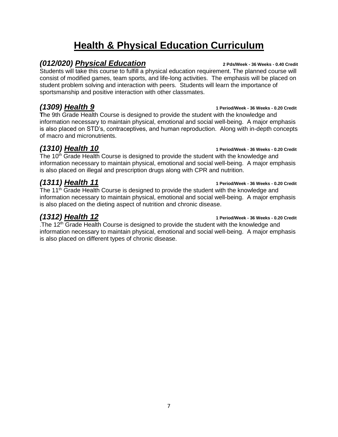# **Health & Physical Education Curriculum**

### *(012/020) Physical Education* **2 Pds/Week - 36 Weeks - 0.40 Credit**

Students will take this course to fulfill a physical education requirement. The planned course will consist of modified games, team sports, and life-long activities. The emphasis will be placed on student problem solving and interaction with peers. Students will learn the importance of sportsmanship and positive interaction with other classmates.

**T**he 9th Grade Health Course is designed to provide the student with the knowledge and information necessary to maintain physical, emotional and social well-being. A major emphasis is also placed on STD's, contraceptives, and human reproduction. Along with in-depth concepts of macro and micronutrients.

# *(1310) Health 10* **1 Period/Week - 36 Weeks - 0.20 Credit**

The  $10<sup>th</sup>$  Grade Health Course is designed to provide the student with the knowledge and information necessary to maintain physical, emotional and social well-being. A major emphasis is also placed on illegal and prescription drugs along with CPR and nutrition.

# *(1311) Health 11* **1 Period/Week - 36 Weeks - 0.20 Credit**

The  $11<sup>th</sup>$  Grade Health Course is designed to provide the student with the knowledge and information necessary to maintain physical, emotional and social well-being. A major emphasis is also placed on the dieting aspect of nutrition and chronic disease.

*(1312) Health 12* **1 Period/Week - 36 Weeks - 0.20 Credit**

. The  $12<sup>th</sup>$  Grade Health Course is designed to provide the student with the knowledge and information necessary to maintain physical, emotional and social well-being. A major emphasis is also placed on different types of chronic disease.

### *(1309) Health 9* **1 Period/Week - 36 Weeks - 0.20 Credit**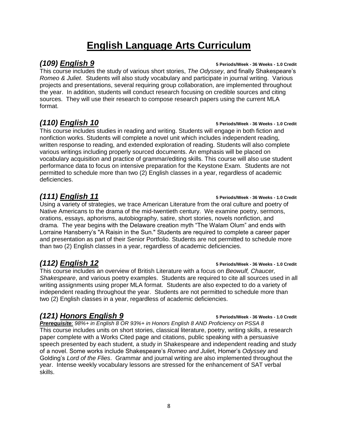# **English Language Arts Curriculum**

*(109) English 9* **5 Periods/Week - 36 Weeks - 1.0 Credit**

This course includes the study of various short stories, *The Odyssey*, and finally Shakespeare's *Romeo & Juliet*. Students will also study vocabulary and participate in journal writing. Various projects and presentations, several requiring group collaboration, are implemented throughout the year. In addition, students will conduct research focusing on credible sources and citing sources. They will use their research to compose research papers using the current MLA format.

# *(110) English 10* **5 Periods/Week - 36 Weeks - 1.0 Credit**

This course includes studies in reading and writing. Students will engage in both fiction and nonfiction works. Students will complete a novel unit which includes independent reading, written response to reading, and extended exploration of reading. Students will also complete various writings including properly sourced documents. An emphasis will be placed on vocabulary acquisition and practice of grammar/editing skills. This course will also use student performance data to focus on intensive preparation for the Keystone Exam. Students are not permitted to schedule more than two (2) English classes in a year, regardless of academic deficiencies.

# *(111) English 11* **5 Periods/Week - 36 Weeks - 1.0 Credit**

Using a variety of strategies, we trace American Literature from the oral culture and poetry of Native Americans to the drama of the mid-twentieth century. We examine poetry, sermons, orations, essays, aphorisms, autobiography, satire, short stories, novels nonfiction, and drama. The year begins with the Delaware creation myth "The Walam Olum" and ends with Lorraine Hansberry's "A Raisin in the Sun." Students are required to complete a career paper and presentation as part of their Senior Portfolio. Students are not permitted to schedule more than two (2) English classes in a year, regardless of academic deficiencies.

# *(112) English 12* **5 Periods/Week - 36 Weeks - 1.0 Credit**

This course includes an overview of British Literature with a focus on *Beowulf, Chaucer, Shakespeare*, and various poetry examples. Students are required to cite all sources used in all writing assignments using proper MLA format. Students are also expected to do a variety of independent reading throughout the year. Students are not permitted to schedule more than two (2) English classes in a year, regardless of academic deficiencies.

# *(121) Honors English 9* **5 Periods/Week - 36 Weeks - 1.0 Credit**

*Prerequisite: 98%+ in English 8 OR 93%+ in Honors English 8 AND Proficiency on PSSA 8* This course includes units on short stories, classical literature, poetry, writing skills, a research paper complete with a Works Cited page and citations, public speaking with a persuasive speech presented by each student, a study in Shakespeare and independent reading and study of a novel. Some works include Shakespeare's *Romeo and Julie*t, Homer's *Odyssey* and Golding's *Lord of the Flies*. Grammar and journal writing are also implemented throughout the year. Intense weekly vocabulary lessons are stressed for the enhancement of SAT verbal skills.

#### 8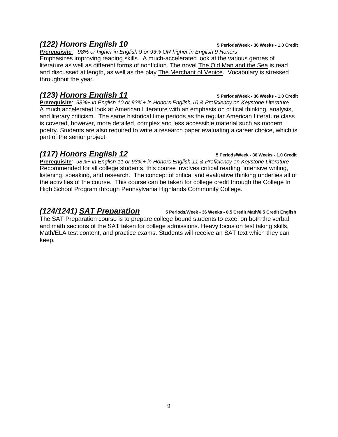### *(122) Honors English 10* **5 Periods/Week - 36 Weeks - 1.0 Credit**

*Prerequisite: 98% or higher in English 9 or 93% OR higher in English 9 Honors* Emphasizes improving reading skills. A much-accelerated look at the various genres of literature as well as different forms of nonfiction. The novel The Old Man and the Sea is read and discussed at length, as well as the play The Merchant of Venice. Vocabulary is stressed throughout the year.

## *(123) Honors English 11* **5 Periods/Week - 36 Weeks - 1.0 Credit**

**Prerequisite***: 98%+ in English 10 or 93%+ in Honors English 10 & Proficiency on Keystone Literature* A much accelerated look at American Literature with an emphasis on critical thinking, analysis, and literary criticism. The same historical time periods as the regular American Literature class is covered, however, more detailed, complex and less accessible material such as modern poetry. Students are also required to write a research paper evaluating a career choice, which is part of the senior project.

## *(117) Honors English 12* **5 Periods/Week - 36 Weeks - 1.0 Credit**

**Prerequisite***: 98%+ in English 11 or 93%+ in Honors English 11 & Proficiency on Keystone Literature* Recommended for all college students, this course involves critical reading, intensive writing, listening, speaking, and research. The concept of critical and evaluative thinking underlies all of the activities of the course. This course can be taken for college credit through the College In High School Program through Pennsylvania Highlands Community College.

# *(124/1241) SAT Preparation* **5 Periods/Week - 36 Weeks - 0.5 Credit Math/0.5 Credit English**

The SAT Preparation course is to prepare college bound students to excel on both the verbal and math sections of the SAT taken for college admissions. Heavy focus on test taking skills, Math/ELA test content, and practice exams. Students will receive an SAT text which they can keep.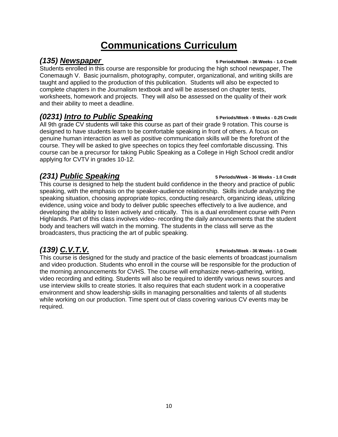# **Communications Curriculum**

## *(135) Newspaper* **5 Periods/Week - 36 Weeks - 1.0 Credit**

Students enrolled in this course are responsible for producing the high school newspaper, The Conemaugh V. Basic journalism, photography, computer, organizational, and writing skills are taught and applied to the production of this publication. Students will also be expected to complete chapters in the Journalism textbook and will be assessed on chapter tests, worksheets, homework and projects. They will also be assessed on the quality of their work and their ability to meet a deadline.

# *(0231) Intro to Public Speaking* **5 Periods/Week - 9 Weeks - 0.25 Credit**

All 9th grade CV students will take this course as part of their grade 9 rotation. This course is designed to have students learn to be comfortable speaking in front of others. A focus on genuine human interaction as well as positive communication skills will be the forefront of the course. They will be asked to give speeches on topics they feel comfortable discussing. This course can be a precursor for taking Public Speaking as a College in High School credit and/or applying for CVTV in grades 10-12.

# *(231) Public Speaking* **5 Periods/Week - 36 Weeks - 1.0 Credit**

This course is designed to help the student build confidence in the theory and practice of public speaking, with the emphasis on the speaker-audience relationship. Skills include analyzing the speaking situation, choosing appropriate topics, conducting research, organizing ideas, utilizing evidence, using voice and body to deliver public speeches effectively to a live audience, and developing the ability to listen actively and critically. This is a dual enrollment course with Penn Highlands. Part of this class involves video- recording the daily announcements that the student body and teachers will watch in the morning. The students in the class will serve as the broadcasters, thus practicing the art of public speaking.

This course is designed for the study and practice of the basic elements of broadcast journalism and video production. Students who enroll in the course will be responsible for the production of the morning announcements for CVHS. The course will emphasize news-gathering, writing, video recording and editing. Students will also be required to identify various news sources and use interview skills to create stories. It also requires that each student work in a cooperative environment and show leadership skills in managing personalities and talents of all students while working on our production. Time spent out of class covering various CV events may be required.

#### *(139) C.V.T.V.* **5 Periods/Week - 36 Weeks - 1.0 Credit**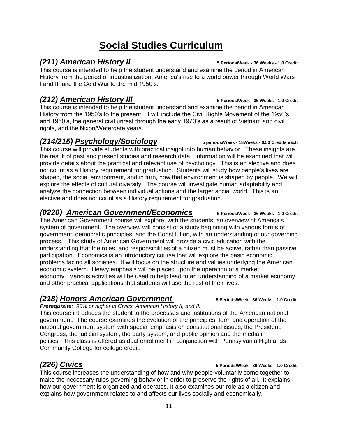# 11

# **Social Studies Curriculum**

## *(211) American History II* **5 Periods/Week - 36 Weeks - 1.0 Credit**

This course is intended to help the student understand and examine the period in American History from the period of industrialization, America's rise to a world power through World Wars I and II, and the Cold War to the mid 1950's.

# *(212) American History III* **5 Periods/Week - 36 Weeks - 1.0 Credit**

This course is intended to help the student understand and examine the period in American History from the 1950's to the present. It will include the Civil Rights Movement of the 1950's and 1960's, the general civil unrest through the early 1970's as a result of Vietnam and civil rights, and the Nixon/Watergate years.

## *(214/215) Psychology/Sociology* **5 periods/Week - 18Weeks - 0.50 Credits each**

This course will provide students with practical insight into human behavior. These insights are the result of past and present studies and research data. Information will be examined that will provide details about the practical and relevant use of psychology. This is an elective and does not count as a History requirement for graduation. Students will study how people's lives are shaped, the social environment, and in turn, how that environment is shaped by people. We will explore the effects of cultural diversity. The course will investigate human adaptability and analyze the connection between individual actions and the larger social world. This is an elective and does not count as a History requirement for graduation.

## *(0220) American Government/Economics* **5 Periods/Week - 36 Weeks - 1.0 Credit**

The American Government course will explore, with the students, an overview of America's system of government. The overview will consist of a study beginning with various forms of government, democratic principles, and the Constitution, with an understanding of our governing process. This study of American Government will provide a civic education with the understanding that the roles, and responsibilities of a citizen must be active, rather than passive participation. Economics is an introductory course that will explore the basic economic problems facing all societies. It will focus on the structure and values underlying the American economic system. Heavy emphasis will be placed upon the operation of a market economy. Various activities will be used to help lead to an understanding of a market economy and other practical applications that students will use the rest of their lives.

# *(218) Honors American Government* **5 Periods/Week - 36 Weeks - 1.0 Credit**

#### *Prerequisite: 95% or higher in Civics, American History II, and III*

This course introduces the student to the processes and institutions of the American national government. The course examines the evolution of the principles, form and operation of the national government system with special emphasis on constitutional issues, the President, Congress, the judicial system, the party system, and public opinion and the media in politics. This class is offered as dual enrollment in conjunction with Pennsylvania Highlands Community College for college credit.

## *(226) Civics* **5 Periods/Week - 36 Weeks - 1.0 Credit**

This course increases the understanding of how and why people voluntarily come together to make the necessary rules governing behavior in order to preserve the rights of all. It explains how our government is organized and operates. It also examines our role as a citizen and explains how government relates to and affects our lives socially and economically.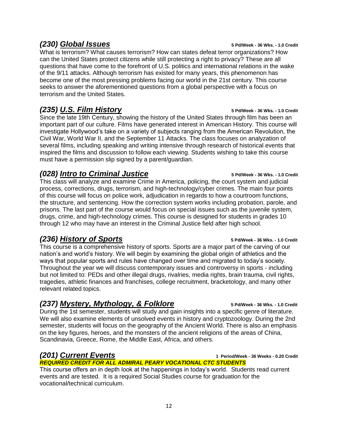### *(230) Global Issues* **5 Pd/Week - 36 Wks. - 1.0 Credit**

What is terrorism? What causes terrorism? How can states defeat terror organizations? How can the United States protect citizens while still protecting a right to privacy? These are all questions that have come to the forefront of U.S. politics and international relations in the wake of the 9/11 attacks. Although terrorism has existed for many years, this phenomenon has become one of the most pressing problems facing our world in the 21st century. This course seeks to answer the aforementioned questions from a global perspective with a focus on terrorism and the United States.

### *(235) U.S. Film History* **5 Pd/Week - 36 Wks. - 1.0 Credit**

Since the late 19th Century, showing the history of the United States through film has been an important part of our culture. Films have generated interest in American History. This course will investigate Hollywood's take on a variety of subjects ranging from the American Revolution, the Civil War, World War II, and the September 11 Attacks. The class focuses on analyzation of several films, including speaking and writing intensive through research of historical events that inspired the films and discussion to follow each viewing. Students wishing to take this course must have a permission slip signed by a parent/guardian.

### *(028) Intro to Criminal Justice* **5 Pd/Week - 36 Wks. - 1.0 Credit**

This class will analyze and examine Crime in America, policing, the court system and judicial process, corrections, drugs, terrorism, and high-technology/cyber crimes. The main four points of this course will focus on police work, adjudication in regards to how a courtroom functions, the structure, and sentencing. How the correction system works including probation, parole, and prisons. The last part of the course would focus on special issues such as the juvenile system, drugs, crime, and high-technology crimes. This course is designed for students in grades 10 through 12 who may have an interest in the Criminal Justice field after high school.

## *(236) History of Sports* **5 Pd/Week - 36 Wks. - 1.0 Credit**

This course is a comprehensive history of sports. Sports are a major part of the carving of our nation's and world's history. We will begin by examining the global origin of athletics and the ways that popular sports and rules have changed over time and migrated to today's society. Throughout the year we will discuss contemporary issues and controversy in sports - including but not limited to: PEDs and other illegal drugs, rivalries, media rights, brain trauma, civil rights, tragedies, athletic finances and franchises, college recruitment, bracketology, and many other relevant related topics.

## *(237) Mystery, Mythology, & Folklore* **5 Pd/Week - 36 Wks. - 1.0 Credit**

During the 1st semester, students will study and gain insights into a specific genre of literature. We will also examine elements of unsolved events in history and cryptozoology. During the 2nd semester, students will focus on the geography of the Ancient World. There is also an emphasis on the key figures, heroes, and the monsters of the ancient religions of the areas of China, Scandinavia, Greece, Rome, the Middle East, Africa, and others.

# *(201) Current Events* **<sup>1</sup> Period/Week - 36 Weeks - 0.20 Credit**

*REQUIRED CREDIT FOR ALL ADMIRAL PEARY VOCATIONAL CTC STUDENTS* This course offers an in depth look at the happenings in today's world. Students read current events and are tested. It is a required Social Studies course for graduation for the vocational/technical curriculum.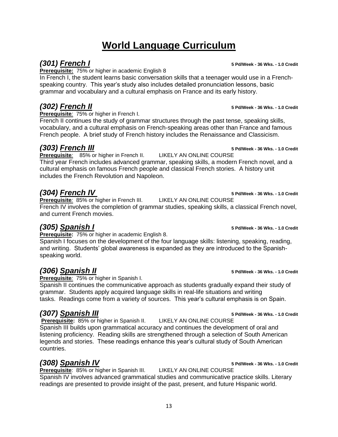# **World Language Curriculum**

# *(301) French I* **5 Pd/Week - 36 Wks. - 1.0 Credit**

**Prerequisite:** 75% or higher in academic English 8

In French I, the student learns basic conversation skills that a teenager would use in a Frenchspeaking country. This year's study also includes detailed pronunciation lessons, basic grammar and vocabulary and a cultural emphasis on France and its early history.

# *(302) French II* **5 Pd/Week - 36 Wks. - 1.0 Credit**

**Prerequisite***:* 75% or higher in French I.

French II continues the study of grammar structures through the past tense, speaking skills, vocabulary, and a cultural emphasis on French-speaking areas other than France and famous French people. A brief study of French history includes the Renaissance and Classicism.

# *(303) French III* **5 Pd/Week - 36 Wks. - 1.0 Credit**

**Prerequisite***:* 85% or higher in French II. LIKELY AN ONLINE COURSE Third year French includes advanced grammar, speaking skills, a modern French novel, and a cultural emphasis on famous French people and classical French stories. A history unit includes the French Revolution and Napoleon.

*(304) French IV* **5 Pd/Week - 36 Wks. - 1.0 Credit Prerequisite**: 85% or higher in French III. French IV involves the completion of grammar studies, speaking skills, a classical French novel, and current French movies.

**Prerequisite:** 75% or higher in academic English 8.

Spanish I focuses on the development of the four language skills: listening, speaking, reading, and writing. Students' global awareness is expanded as they are introduced to the Spanishspeaking world.

**Prerequisite***:* 75% or higher in Spanish I.

Spanish II continues the communicative approach as students gradually expand their study of grammar. Students apply acquired language skills in real-life situations and writing tasks. Readings come from a variety of sources. This year's cultural emphasis is on Spain.

# *(307) Spanish III* **5 Pd/Week - 36 Wks. - 1.0 Credit**

**Prerequisite:** 85% or higher in Spanish II. LIKELY AN ONLINE COURSE Spanish III builds upon grammatical accuracy and continues the development of oral and listening proficiency. Reading skills are strengthened through a selection of South American legends and stories. These readings enhance this year's cultural study of South American countries.

*(308) Spanish IV* **5 Pd/Week - 36 Wks. - 1.0 Credit Prerequisite:** 85% or higher in Spanish III. Spanish IV involves advanced grammatical studies and communicative practice skills. Literary readings are presented to provide insight of the past, present, and future Hispanic world.

#### *(305) Spanish I* **5 Pd/Week - 36 Wks. - 1.0 Credit**

*(306) Spanish II* **5 Pd/Week - 36 Wks. - 1.0 Credit**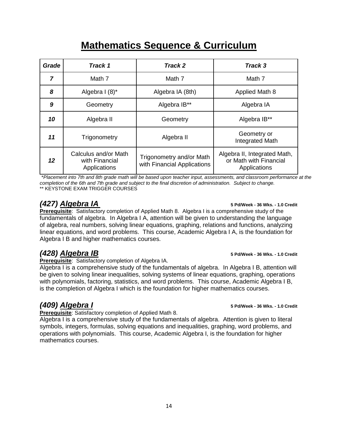# **Mathematics Sequence & Curriculum**

| Grade | Track 1                                                | Track 2                                                 | Track 3                                                                |
|-------|--------------------------------------------------------|---------------------------------------------------------|------------------------------------------------------------------------|
| 7     | Math 7                                                 | Math 7                                                  | Math 7                                                                 |
| 8     | Algebra I (8)*                                         | Algebra IA (8th)                                        | Applied Math 8                                                         |
| 9     | Geometry                                               | Algebra IB**                                            | Algebra IA                                                             |
| 10    | Algebra II                                             | Geometry                                                | Algebra IB**                                                           |
| 11    | Trigonometry                                           | Algebra II                                              | Geometry or<br>Integrated Math                                         |
| 12    | Calculus and/or Math<br>with Financial<br>Applications | Trigonometry and/or Math<br>with Financial Applications | Algebra II, Integrated Math,<br>or Math with Financial<br>Applications |

\**Placement into 7th and 8th grade math will be based upon teacher input, assessments, and classroom performance at the completion of the 6th and 7th grade and subject to the final discretion of administration. Subject to change.* \*\* KEYSTONE EXAM TRIGGER COURSES

**Prerequisite**: Satisfactory completion of Applied Math 8. Algebra I is a comprehensive study of the fundamentals of algebra. In Algebra I A, attention will be given to understanding the language of algebra, real numbers, solving linear equations, graphing, relations and functions, analyzing linear equations, and word problems. This course, Academic Algebra I A, is the foundation for Algebra I B and higher mathematics courses.

# *(428) Algebra IB* **5 Pd/Week - 36 Wks. - 1.0 Credit**

**Prerequisite**: Satisfactory completion of Algebra IA.

Algebra I is a comprehensive study of the fundamentals of algebra. In Algebra I B, attention will be given to solving linear inequalities, solving systems of linear equations, graphing, operations with polynomials, factoring, statistics, and word problems. This course, Academic Algebra I B, is the completion of Algebra I which is the foundation for higher mathematics courses.

**Prerequisite**: Satisfactory completion of Applied Math 8.

Algebra I is a comprehensive study of the fundamentals of algebra. Attention is given to literal symbols, integers, formulas, solving equations and inequalities, graphing, word problems, and operations with polynomials. This course, Academic Algebra I, is the foundation for higher mathematics courses.

#### *(427) Algebra IA* **5 Pd/Week - 36 Wks. - 1.0 Credit**

*(409) Algebra I* **5 Pd/Week - 36 Wks. - 1.0 Credit**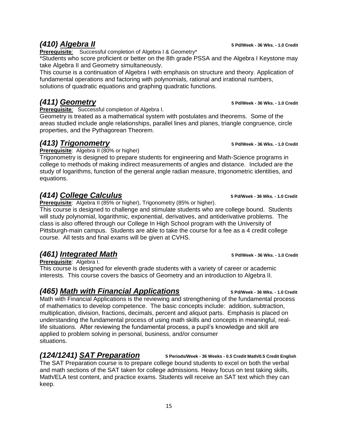**Prerequisite***:* Successful completion of Algebra I & Geometry\*

\*Students who score proficient or better on the 8th grade PSSA and the Algebra I Keystone may take Algebra II and Geometry simultaneously.

This course is a continuation of Algebra I with emphasis on structure and theory. Application of fundamental operations and factoring with polynomials, rational and irrational numbers, solutions of quadratic equations and graphing quadratic functions.

# *(411) Geometry* **5 Pd/Week - 36 Wks. - 1.0 Credit**

**Prerequisite***:* Successful completion of Algebra I.

Geometry is treated as a mathematical system with postulates and theorems. Some of the areas studied include angle relationships, parallel lines and planes, triangle congruence, circle properties, and the Pythagorean Theorem.

## *(413) Trigonometry* **5 Pd/Week - 36 Wks. - 1.0 Credit**

**Prerequisite:** Algebra II (80% or higher)

Trigonometry is designed to prepare students for engineering and Math-Science programs in college to methods of making indirect measurements of angles and distance. Included are the study of logarithms, function of the general angle radian measure, trigonometric identities, and equations.

# *(414) College Calculus* **5 Pd/Week - 36 Wks. - 1.0 Credit**

**Prerequisite**: Algebra II (85% or higher), Trigonometry (85% or higher).

This course is designed to challenge and stimulate students who are college bound. Students will study polynomial, logarithmic, exponential, derivatives, and antiderivative problems. The class is also offered through our College In High School program with the University of Pittsburgh-main campus. Students are able to take the course for a fee as a 4 credit college course. All tests and final exams will be given at CVHS.

# *(461) Integrated Math* **5 Pd/Week - 36 Wks. - 1.0 Credit**

**Prerequisite**: Algebra I.

This course is designed for eleventh grade students with a variety of career or academic interests. This course covers the basics of Geometry and an introduction to Algebra II.

# *(465) Math with Financial Applications* **5 Pd/Week - 36 Wks. - 1.0 Credit**

Math with Financial Applications is the reviewing and strengthening of the fundamental process of mathematics to develop competence. The basic concepts include: addition, subtraction, multiplication, division, fractions, decimals, percent and aliquot parts. Emphasis is placed on understanding the fundamental process of using math skills and concepts in meaningful, reallife situations. After reviewing the fundamental process, a pupil's knowledge and skill are applied to problem solving in personal, business, and/or consumer situations.

# *(124/1241) SAT Preparation* **5 Periods/Week - 36 Weeks - 0.5 Credit Math/0.5 Credit English**

The SAT Preparation course is to prepare college bound students to excel on both the verbal and math sections of the SAT taken for college admissions. Heavy focus on test taking skills, Math/ELA test content, and practice exams. Students will receive an SAT text which they can keep.

*(410) Algebra II* **5 Pd/Week - 36 Wks. - 1.0 Credit**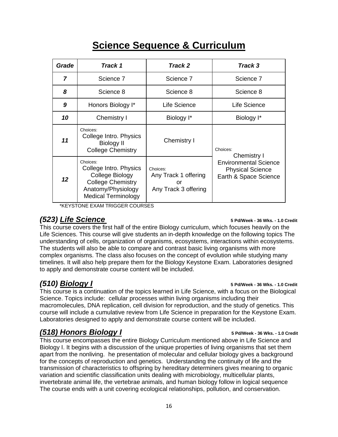|  |  |  |  | <b>Science Sequence &amp; Curriculum</b> |
|--|--|--|--|------------------------------------------|
|--|--|--|--|------------------------------------------|

| Grade          | Track 1                                                                                                                               | Track 2                                                        | Track 3                                                                                                     |  |
|----------------|---------------------------------------------------------------------------------------------------------------------------------------|----------------------------------------------------------------|-------------------------------------------------------------------------------------------------------------|--|
| $\overline{7}$ | Science 7                                                                                                                             | Science 7                                                      | Science 7                                                                                                   |  |
| 8              | Science 8                                                                                                                             | Science 8                                                      | Science 8                                                                                                   |  |
| 9              | Honors Biology I*                                                                                                                     | Life Science                                                   | Life Science                                                                                                |  |
| 10             | Chemistry I                                                                                                                           | Biology I*                                                     | Biology I*                                                                                                  |  |
| 11             | Choices:<br>College Intro. Physics<br><b>Biology II</b><br><b>College Chemistry</b>                                                   | Chemistry I                                                    | Choices:<br>Chemistry I<br><b>Environmental Science</b><br><b>Physical Science</b><br>Earth & Space Science |  |
| 12             | Choices:<br>College Intro. Physics<br>College Biology<br><b>College Chemistry</b><br>Anatomy/Physiology<br><b>Medical Terminology</b> | Choices:<br>Any Track 1 offering<br>or<br>Any Track 3 offering |                                                                                                             |  |

\*KEYSTONE EXAM TRIGGER COURSES

#### *(523) Life Science* **5 Pd/Week - 36 Wks. - 1.0 Credit**

This course covers the first half of the entire Biology curriculum, which focuses heavily on the Life Sciences. This course will give students an in-depth knowledge on the following topics The understanding of cells, organization of organisms, ecosystems, interactions within ecosystems. The students will also be able to compare and contrast basic living organisms with more complex organisms. The class also focuses on the concept of evolution while studying many timelines. It will also help prepare them for the Biology Keystone Exam. Laboratories designed to apply and demonstrate course content will be included.

This course is a continuation of the topics learned in Life Science, with a focus on the Biological Science. Topics include: cellular processes within living organisms including their macromolecules, DNA replication, cell division for reproduction, and the study of genetics. This course will include a cumulative review from Life Science in preparation for the Keystone Exam. Laboratories designed to apply and demonstrate course content will be included.

### *(518) Honors Biology I* **5 Pd/Week - 36 Wks. - 1.0 Credit**

This course encompasses the entire Biology Curriculum mentioned above in Life Science and Biology I. It begins with a discussion of the unique properties of living organisms that set them apart from the nonliving. he presentation of molecular and cellular biology gives a background for the concepts of reproduction and genetics. Understanding the continuity of life and the transmission of characteristics to offspring by hereditary determiners gives meaning to organic variation and scientific classification units dealing with microbiology, multicellular plants, invertebrate animal life, the vertebrae animals, and human biology follow in logical sequence The course ends with a unit covering ecological relationships, pollution, and conservation.

#### *(510) Biology I* **5 Pd/Week - 36 Wks. - 1.0 Credit**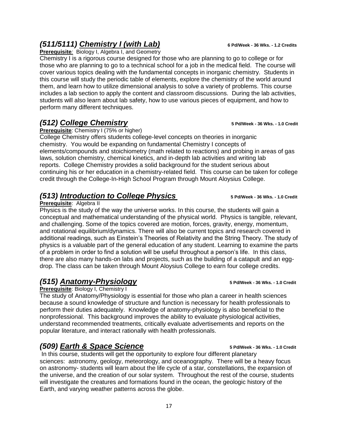# *(511/5111) Chemistry I (with Lab)* **6 Pd/Week - 36 Wks. - 1.2 Credits**

**Prerequisite***:* Biology I, Algebra I, and Geometry

Chemistry I is a rigorous course designed for those who are planning to go to college or for those who are planning to go to a technical school for a job in the medical field. The course will cover various topics dealing with the fundamental concepts in inorganic chemistry. Students in this course will study the periodic table of elements, explore the chemistry of the world around them, and learn how to utilize dimensional analysis to solve a variety of problems. This course includes a lab section to apply the content and classroom discussions. During the lab activities, students will also learn about lab safety, how to use various pieces of equipment, and how to perform many different techniques.

## *(512) College Chemistry* **5 Pd/Week - 36 Wks. - 1.0 Credit**

**Prerequisite:** Chemistry I (75% or higher)

College Chemistry offers students college-level concepts on theories in inorganic chemistry. You would be expanding on fundamental Chemistry I concepts of elements/compounds and stoichiometry (math related to reactions) and probing in areas of gas laws, solution chemistry, chemical kinetics, and in-depth lab activities and writing lab reports. College Chemistry provides a solid background for the student serious about continuing his or her education in a chemistry-related field. This course can be taken for college credit through the College-In-High School Program through Mount Aloysius College.

### *(513) Introduction to College Physics* **5 Pd/Week - 36 Wks. - 1.0 Credit**

#### **Prerequisite**: Algebra II

Physics is the study of the way the universe works. In this course, the students will gain a conceptual and mathematical understanding of the physical world. Physics is tangible, relevant, and challenging. Some of the topics covered are motion, forces, gravity, energy, momentum, and rotational equilibrium/dynamics. There will also be current topics and research covered in additional readings, such as Einstein's Theories of Relativity and the String Theory. The study of physics is a valuable part of the general education of any student. Learning to examine the parts of a problem in order to find a solution will be useful throughout a person's life. In this class, there are also many hands-on labs and projects, such as the building of a catapult and an eggdrop. The class can be taken through Mount Aloysius College to earn four college credits.

# *(515) Anatomy-Physiology* **5 Pd/Week - 36 Wks. - 1.0 Credit**

#### **Prerequisite**: Biology I, Chemistry I

The study of Anatomy/Physiology is essential for those who plan a career in health sciences because a sound knowledge of structure and function is necessary for health professionals to perform their duties adequately. Knowledge of anatomy-physiology is also beneficial to the nonprofessional. This background improves the ability to evaluate physiological activities, understand recommended treatments, critically evaluate advertisements and reports on the popular literature, and interact rationally with health professionals.

### *(509) Earth & Space Science* **5 Pd/Week - 36 Wks. - 1.0 Credit**

In this course, students will get the opportunity to explore four different planetary sciences: astronomy, geology, meteorology, and oceanography. There will be a heavy focus on astronomy- students will learn about the life cycle of a star, constellations, the expansion of the universe, and the creation of our solar system. Throughout the rest of the course, students will investigate the creatures and formations found in the ocean, the geologic history of the Earth, and varying weather patterns across the globe.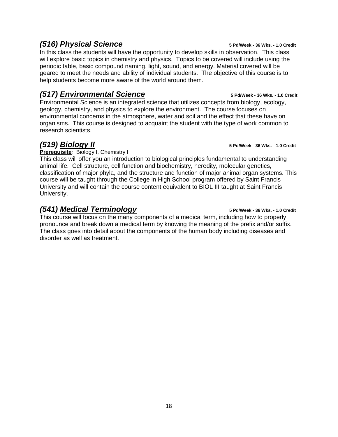### *(516) Physical Science* **5 Pd/Week - 36 Wks. - 1.0 Credit**

In this class the students will have the opportunity to develop skills in observation. This class will explore basic topics in chemistry and physics. Topics to be covered will include using the periodic table, basic compound naming, light, sound, and energy. Material covered will be geared to meet the needs and ability of individual students. The objective of this course is to help students become more aware of the world around them.

## *(517) Environmental Science* **5 Pd/Week - 36 Wks. - 1.0 Credit**

Environmental Science is an integrated science that utilizes concepts from biology, ecology, geology, chemistry, and physics to explore the environment. The course focuses on environmental concerns in the atmosphere, water and soil and the effect that these have on organisms. This course is designed to acquaint the student with the type of work common to research scientists.

**Prerequisite***:* Biology I, Chemistry I

This class will offer you an introduction to biological principles fundamental to understanding animal life. Cell structure, cell function and biochemistry, heredity, molecular genetics, classification of major phyla, and the structure and function of major animal organ systems. This course will be taught through the College in High School program offered by Saint Francis University and will contain the course content equivalent to BIOL III taught at Saint Francis University.

# *(541) Medical Terminology* **5 Pd/Week - 36 Wks. - 1.0 Credit**

This course will focus on the many components of a medical term, including how to properly pronounce and break down a medical term by knowing the meaning of the prefix and/or suffix. The class goes into detail about the components of the human body including diseases and disorder as well as treatment.

#### *(519) Biology II* **5 Pd/Week - 36 Wks. - 1.0 Credit**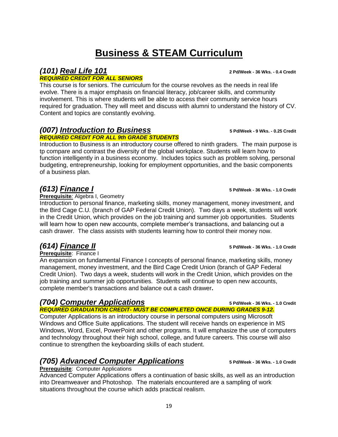# **Business & STEAM Curriculum**

## *(101) Real Life 101* **2 Pd/Week - 36 Wks. - 0.4 Credit**

#### *REQUIRED CREDIT FOR ALL SENIORS*

This course is for seniors. The curriculum for the course revolves as the needs in real life evolve. There is a major emphasis on financial literacy, job/career skills, and community involvement. This is where students will be able to access their community service hours required for graduation. They will meet and discuss with alumni to understand the history of CV. Content and topics are constantly evolving.

## *(007) Introduction to Business* **5 Pd/Week - 9 Wks. - 0.25 Credit**

#### *REQUIRED CREDIT FOR ALL 9th GRADE STUDENTS*

Introduction to Business is an introductory course offered to ninth graders. The main purpose is tp compare and contrast the diversity of the global workplace. Students will learn how to function intelligently in a business economy. Includes topics such as problem solving, personal budgeting, entrepreneurship, looking for employment opportunities, and the basic components of a business plan.

## *(613) Finance I* **5 Pd/Week - 36 Wks. - 1.0 Credit**

**Prerequisite***:* Algebra I, Geometry

Introduction to personal finance, marketing skills, money management, money investment, and the Bird Cage C.U. (branch of GAP Federal Credit Union). Two days a week, students will work in the Credit Union, which provides on the job training and summer job opportunities. Students will learn how to open new accounts, complete member's transactions, and balancing out a cash drawer. The class assists with students learning how to control their money now.

**Prerequisite**: Finance I

An expansion on fundamental Finance I concepts of personal finance, marketing skills, money management, money investment, and the Bird Cage Credit Union (branch of GAP Federal Credit Union). Two days a week, students will work in the Credit Union, which provides on the job training and summer job opportunities. Students will continue to open new accounts, complete member's transactions and balance out a cash drawer**.** 

## *(704) Computer Applications* **5 Pd/Week - 36 Wks. - 1.0 Credit**

*REQUIRED GRADUATION CREDIT- MUST BE COMPLETED ONCE DURING GRADES 9-12.* Computer Applications is an introductory course in personal computers using Microsoft Windows and Office Suite applications. The student will receive hands on experience in MS Windows, Word, Excel, PowerPoint and other programs. It will emphasize the use of computers and technology throughout their high school, college, and future careers. This course will also continue to strengthen the keyboarding skills of each student.

# *(705) Advanced Computer Applications* **5 Pd/Week - 36 Wks. - 1.0 Credit**

#### **Prerequisite**: Computer Applications

Advanced Computer Applications offers a continuation of basic skills, as well as an introduction into Dreamweaver and Photoshop. The materials encountered are a sampling of work situations throughout the course which adds practical realism.

*(614) Finance II* **5 Pd/Week - 36 Wks. - 1.0 Credit**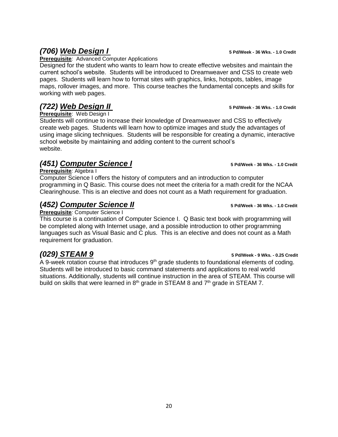# *(706) Web Design I* **5 Pd/Week - 36 Wks. - 1.0 Credit**

**Prerequisite***:* Advanced Computer Applications

Designed for the student who wants to learn how to create effective websites and maintain the current school's website. Students will be introduced to Dreamweaver and CSS to create web pages. Students will learn how to format sites with graphics, links, hotspots, tables, image maps, rollover images, and more. This course teaches the fundamental concepts and skills for working with web pages.

## *(722) Web Design II* **5 Pd/Week - 36 Wks. - 1.0 Credit**

**Prerequisite**: Web Design I

Students will continue to increase their knowledge of Dreamweaver and CSS to effectively create web pages. Students will learn how to optimize images and study the advantages of using image slicing techniques. Students will be responsible for creating a dynamic, interactive school website by maintaining and adding content to the current school's website.

# *(451) Computer Science I* **5 Pd/Week - 36 Wks. - 1.0 Credit**

**Prerequisite***:* Algebra I

Computer Science I offers the history of computers and an introduction to computer programming in Q Basic. This course does not meet the criteria for a math credit for the NCAA Clearinghouse. This is an elective and does not count as a Math requirement for graduation.

## **(***452) Computer Science II* **5 Pd/Week - 36 Wks. - 1.0 Credit**

**Prerequisite***:* Computer Science I

This course is a continuation of Computer Science I. Q Basic text book with programming will be completed along with Internet usage, and a possible introduction to other programming languages such as Visual Basic and C plus. This is an elective and does not count as a Math requirement for graduation.

# *(029) STEAM 9* **5 Pd/Week - 9 Wks. - 0.25 Credit**

A 9-week rotation course that introduces 9<sup>th</sup> grade students to foundational elements of coding. Students will be introduced to basic command statements and applications to real world situations. Additionally, students will continue instruction in the area of STEAM. This course will build on skills that were learned in  $8<sup>th</sup>$  grade in STEAM 8 and  $7<sup>th</sup>$  grade in STEAM 7.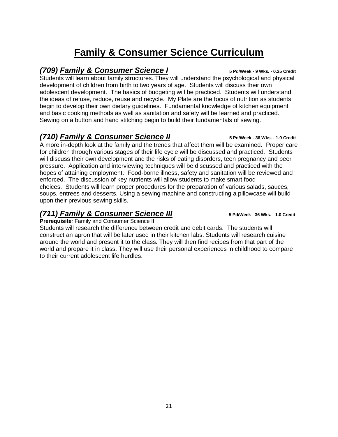# **Family & Consumer Science Curriculum**

### *(709) Family & Consumer Science I* **5 Pd/Week - 9 Wks. - 0.25 Credit**

Students will learn about family structures. They will understand the psychological and physical development of children from birth to two years of age. Students will discuss their own adolescent development. The basics of budgeting will be practiced. Students will understand the ideas of refuse, reduce, reuse and recycle. My Plate are the focus of nutrition as students begin to develop their own dietary guidelines. Fundamental knowledge of kitchen equipment and basic cooking methods as well as sanitation and safety will be learned and practiced. Sewing on a button and hand stitching begin to build their fundamentals of sewing.

### *(710) Family & Consumer Science II* **5 Pd/Week - 36 Wks. - 1.0 Credit**

A more in-depth look at the family and the trends that affect them will be examined. Proper care for children through various stages of their life cycle will be discussed and practiced. Students will discuss their own development and the risks of eating disorders, teen pregnancy and peer pressure. Application and interviewing techniques will be discussed and practiced with the hopes of attaining employment. Food-borne illness, safety and sanitation will be reviewed and enforced. The discussion of key nutrients will allow students to make smart food choices. Students will learn proper procedures for the preparation of various salads, sauces, soups, entrees and desserts. Using a sewing machine and constructing a pillowcase will build upon their previous sewing skills.

### *(711) Family & Consumer Science III* **5 Pd/Week - 36 Wks. - 1.0 Credit**

**Prerequisite***:* Family and Consumer Science II

Students will research the difference between credit and debit cards. The students will construct an apron that will be later used in their kitchen labs. Students will research cuisine around the world and present it to the class. They will then find recipes from that part of the world and prepare it in class. They will use their personal experiences in childhood to compare to their current adolescent life hurdles.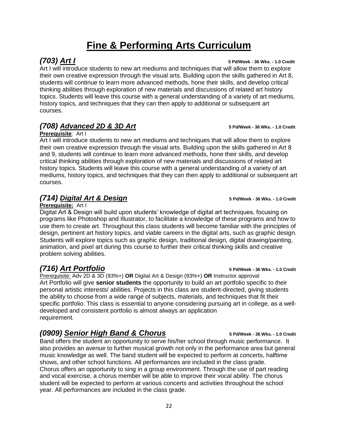# **Fine & Performing Arts Curriculum**

Art I will introduce students to new art mediums and techniques that will allow them to explore their own creative expression through the visual arts. Building upon the skills gathered in Art 8, students will continue to learn more advanced methods, hone their skills, and develop critical thinking abilities through exploration of new materials and discussions of related art history topics. Students will leave this course with a general understanding of a variety of art mediums, history topics, and techniques that they can then apply to additional or subsequent art courses.

## *(708) Advanced 2D & 3D Art* **5 Pd/Week - 36 Wks. - 1.0 Credit**

#### **Prerequisite**: Art I

Art I will introduce students to new art mediums and techniques that will allow them to explore their own creative expression through the visual arts. Building upon the skills gathered in Art 8 and 9, students will continue to learn more advanced methods, hone their skills, and develop critical thinking abilities through exploration of new materials and discussions of related art history topics. Students will leave this course with a general understanding of a variety of art mediums, history topics, and techniques that they can then apply to additional or subsequent art courses.

# *(714) Digital Art & Design* **5 Pd/Week - 36 Wks. - 1.0 Credit**

**Prerequisite:** Art I

Digital Art & Design will build upon students' knowledge of digital art techniques, focusing on programs like Photoshop and Illustrator, to facilitate a knowledge of these programs and how to use them to create art. Throughout this class students will become familiar with the principles of design, pertinent art history topics, and viable careers in the digital arts, such as graphic design. Students will explore topics such as graphic design, traditional design, digital drawing/painting, animation, and pixel art during this course to further their critical thinking skills and creative problem solving abilities.

# *(716) Art Portfolio* **5 Pd/Week - 36 Wks. - 1.0 Credit**

Prerequisite: Adv 2D & 3D (93%+) **OR** Digital Art & Design (93%+) **OR** Instructor approval Art Portfolio will give **senior students** the opportunity to build an art portfolio specific to their personal artistic interests/ abilities. Projects in this class are student-directed, giving students the ability to choose from a wide range of subjects, materials, and techniques that fit their specific portfolio. This class is essential to anyone considering pursuing art in college, as a welldeveloped and consistent portfolio is almost always an application requirement.

# *(0909) Senior High Band & Chorus* **5 Pd/Week - 36 Wks. - 1.0 Credit**

Band offers the student an opportunity to serve his/her school through music performance. It also provides an avenue to further musical growth not only in the performance area but general music knowledge as well. The band student will be expected to perform at concerts, halftime shows, and other school functions. All performances are included in the class grade. Chorus offers an opportunity to sing in a group environment. Through the use of part reading and vocal exercise, a chorus member will be able to improve their vocal ability. The chorus student will be expected to perform at various concerts and activities throughout the school year. All performances are included in the class grade.

*(703) Art I* **5 Pd/Week - 36 Wks. - 1.0 Credit**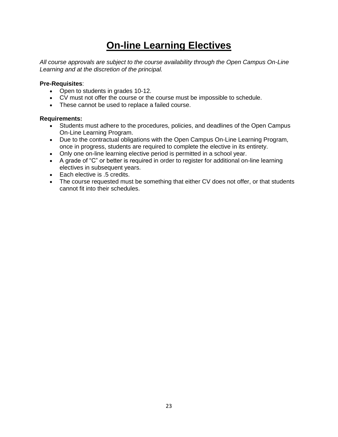# **On-line Learning Electives**

*All course approvals are subject to the course availability through the Open Campus On-Line Learning and at the discretion of the principal.*

#### **Pre-Requisites**:

- Open to students in grades 10-12.
- CV must not offer the course or the course must be impossible to schedule.
- These cannot be used to replace a failed course.

#### **Requirements:**

- Students must adhere to the procedures, policies, and deadlines of the Open Campus On-Line Learning Program.
- Due to the contractual obligations with the Open Campus On-Line Learning Program, once in progress, students are required to complete the elective in its entirety.
- Only one on-line learning elective period is permitted in a school year.
- A grade of "C" or better is required in order to register for additional on-line learning electives in subsequent years.
- Each elective is .5 credits.
- The course requested must be something that either CV does not offer, or that students cannot fit into their schedules.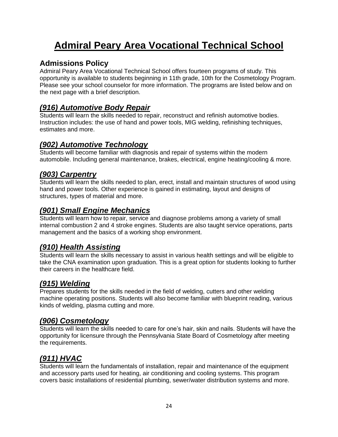# **Admiral Peary Area Vocational Technical School**

### **Admissions Policy**

Admiral Peary Area Vocational Technical School offers fourteen programs of study. This opportunity is available to students beginning in 11th grade, 10th for the Cosmetology Program. Please see your school counselor for more information. The programs are listed below and on the next page with a brief description.

### *(916) Automotive Body Repair*

Students will learn the skills needed to repair, reconstruct and refinish automotive bodies. Instruction includes: the use of hand and power tools, MIG welding, refinishing techniques, estimates and more.

# *(902) Automotive Technology*

Students will become familiar with diagnosis and repair of systems within the modern automobile. Including general maintenance, brakes, electrical, engine heating/cooling & more.

### *(903) Carpentry*

Students will learn the skills needed to plan, erect, install and maintain structures of wood using hand and power tools. Other experience is gained in estimating, layout and designs of structures, types of material and more.

### *(901) Small Engine Mechanics*

Students will learn how to repair, service and diagnose problems among a variety of small internal combustion 2 and 4 stroke engines. Students are also taught service operations, parts management and the basics of a working shop environment.

### *(910) Health Assisting*

Students will learn the skills necessary to assist in various health settings and will be eligible to take the CNA examination upon graduation. This is a great option for students looking to further their careers in the healthcare field.

### *(915) Welding*

Prepares students for the skills needed in the field of welding, cutters and other welding machine operating positions. Students will also become familiar with blueprint reading, various kinds of welding, plasma cutting and more.

### *(906) Cosmetology*

Students will learn the skills needed to care for one's hair, skin and nails. Students will have the opportunity for licensure through the Pennsylvania State Board of Cosmetology after meeting the requirements.

### *(911) HVAC*

Students will learn the fundamentals of installation, repair and maintenance of the equipment and accessory parts used for heating, air conditioning and cooling systems. This program covers basic installations of residential plumbing, sewer/water distribution systems and more.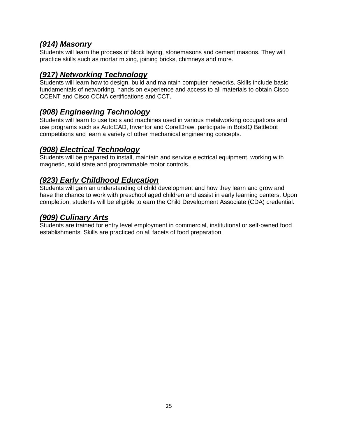### *(914) Masonry*

Students will learn the process of block laying, stonemasons and cement masons. They will practice skills such as mortar mixing, joining bricks, chimneys and more.

### *(917) Networking Technology*

Students will learn how to design, build and maintain computer networks. Skills include basic fundamentals of networking, hands on experience and access to all materials to obtain Cisco CCENT and Cisco CCNA certifications and CCT.

### *(908) Engineering Technology*

Students will learn to use tools and machines used in various metalworking occupations and use programs such as AutoCAD, Inventor and CoreIDraw, participate in BotsIQ Battlebot competitions and learn a variety of other mechanical engineering concepts.

### *(908) Electrical Technology*

Students will be prepared to install, maintain and service electrical equipment, working with magnetic, solid state and programmable motor controls.

### *(923) Early Childhood Education*

Students will gain an understanding of child development and how they learn and grow and have the chance to work with preschool aged children and assist in early learning centers. Upon completion, students will be eligible to earn the Child Development Associate (CDA) credential.

### *(909) Culinary Arts*

Students are trained for entry level employment in commercial, institutional or self-owned food establishments. Skills are practiced on all facets of food preparation.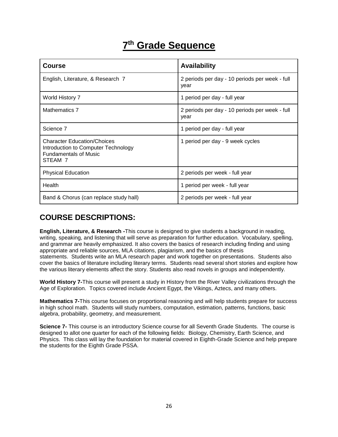# **7 th Grade Sequence**

| <b>Course</b>                                                                                                        | <b>Availability</b>                                    |
|----------------------------------------------------------------------------------------------------------------------|--------------------------------------------------------|
| English, Literature, & Research 7                                                                                    | 2 periods per day - 10 periods per week - full<br>year |
| World History 7                                                                                                      | 1 period per day - full year                           |
| <b>Mathematics 7</b>                                                                                                 | 2 periods per day - 10 periods per week - full<br>year |
| Science 7                                                                                                            | 1 period per day - full year                           |
| <b>Character Education/Choices</b><br>Introduction to Computer Technology<br><b>Fundamentals of Music</b><br>STEAM 7 | 1 period per day - 9 week cycles                       |
| <b>Physical Education</b>                                                                                            | 2 periods per week - full year                         |
| Health                                                                                                               | 1 period per week - full year                          |
| Band & Chorus (can replace study hall)                                                                               | 2 periods per week - full year                         |

# **COURSE DESCRIPTIONS:**

**English, Literature, & Research -**This course is designed to give students a background in reading, writing, speaking, and listening that will serve as preparation for further education. Vocabulary, spelling, and grammar are heavily emphasized. It also covers the basics of research including finding and using appropriate and reliable sources, MLA citations, plagiarism, and the basics of thesis statements. Students write an MLA research paper and work together on presentations. Students also cover the basics of literature including literary terms. Students read several short stories and explore how the various literary elements affect the story. Students also read novels in groups and independently.

**World History 7-**This course will present a study in History from the River Valley civilizations through the Age of Exploration. Topics covered include Ancient Egypt, the Vikings, Aztecs, and many others.

**Mathematics 7-**This course focuses on proportional reasoning and will help students prepare for success in high school math. Students will study numbers, computation, estimation, patterns, functions, basic algebra, probability, geometry, and measurement.

**Science 7-** This course is an introductory Science course for all Seventh Grade Students. The course is designed to allot one quarter for each of the following fields: Biology, Chemistry, Earth Science, and Physics. This class will lay the foundation for material covered in Eighth-Grade Science and help prepare the students for the Eighth Grade PSSA.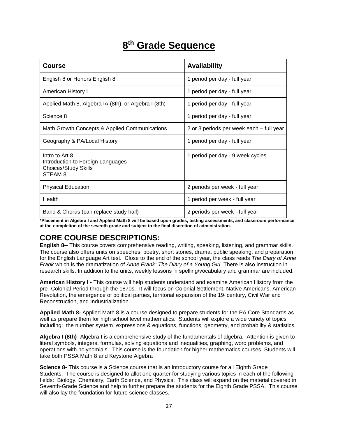# **8 th Grade Sequence**

| <b>Course</b>                                                                                            | <b>Availability</b>                      |
|----------------------------------------------------------------------------------------------------------|------------------------------------------|
| English 8 or Honors English 8                                                                            | 1 period per day - full year             |
| American History I                                                                                       | 1 period per day - full year             |
| Applied Math 8, Algebra IA (8th), or Algebra I (8th)                                                     | 1 period per day - full year             |
| Science 8                                                                                                | 1 period per day - full year             |
| Math Growth Concepts & Applied Communications                                                            | 2 or 3 periods per week each – full year |
| Geography & PA/Local History                                                                             | 1 period per day - full year             |
| Intro to Art 8<br>Introduction to Foreign Languages<br><b>Choices/Study Skills</b><br>STEAM <sub>8</sub> | 1 period per day - 9 week cycles         |
| <b>Physical Education</b>                                                                                | 2 periods per week - full year           |
| Health                                                                                                   | 1 period per week - full year            |
| Band & Chorus (can replace study hall)                                                                   | 2 periods per week - full year           |

**\*Placement in Algebra I and Applied Math 8 will be based upon grades, testing assessments, and classroom performance at the completion of the seventh grade and subject to the final discretion of administration.** 

# **CORE COURSE DESCRIPTIONS:**

**English 8--** This course covers comprehensive reading, writing, speaking, listening, and grammar skills. The course also offers units on speeches, poetry, short stories, drama, public speaking, and preparation for the English Language Art test. Close to the end of the school year, the class reads *The Diary of Anne Frank* which is the dramatization of *Anne Frank: The Diary of a Young Girl*. There is also instruction in research skills. In addition to the units, weekly lessons in spelling/vocabulary and grammar are included.

**American History I -** This course will help students understand and examine American History from the pre- Colonial Period through the 1870s. It will focus on Colonial Settlement, Native Americans, American Revolution, the emergence of political parties, territorial expansion of the 19<sup>th</sup> century, Civil War and Reconstruction, and Industrialization.

**Applied Math 8-** Applied Math 8 is a course designed to prepare students for the PA Core Standards as well as prepare them for high school level mathematics. Students will explore a wide variety of topics including: the number system, expressions & equations, functions, geometry, and probability & statistics.

**Algebra I (8th)**- Algebra I is a comprehensive study of the fundamentals of algebra. Attention is given to literal symbols, integers, formulas, solving equations and inequalities, graphing, word problems, and operations with polynomials. This course is the foundation for higher mathematics courses. Students will take both PSSA Math 8 and Keystone Algebra

**Science 8-** This course is a Science course that is an introductory course for all Eighth Grade Students. The course is designed to allot one quarter for studying various topics in each of the following fields: Biology, Chemistry, Earth Science, and Physics. This class will expand on the material covered in Seventh-Grade Science and help to further prepare the students for the Eighth Grade PSSA. This course will also lay the foundation for future science classes.